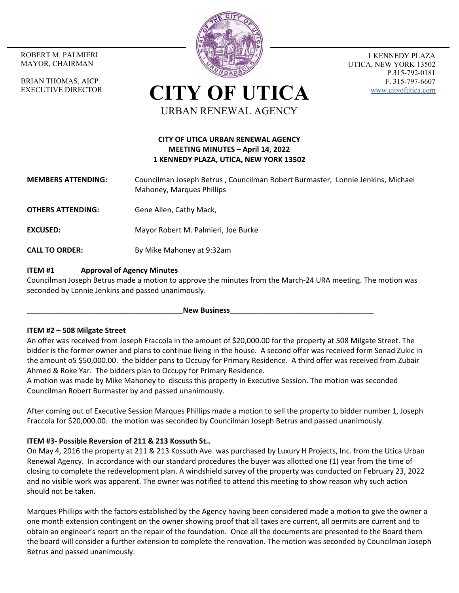MAYOR, CHAIRMAN

BRIAN THOMAS, AICP EXECUTIVE DIRECTOR



1 KENNEDY PLAZA UTICA, NEW YORK 13502 P.315-792-0181 F. 315-797-6607 www.cityofutica.com

**CITY OF UTICA** URBAN RENEWAL AGENCY

# **CITY OF UTICA URBAN RENEWAL AGENCY MEETING MINUTES – April 14, 2022 1 KENNEDY PLAZA, UTICA, NEW YORK 13502**

- **MEMBERS ATTENDING:**  Councilman Joseph Betrus , Councilman Robert Burmaster, Lonnie Jenkins, Michael Mahoney, Marques Phillips
- **OTHERS ATTENDING:** Gene Allen, Cathy Mack,
- **EXCUSED:** Mayor Robert M. Palmieri, Joe Burke
- **CALL TO ORDER:** By Mike Mahoney at 9:32am

## **ITEM #1 Approval of Agency Minutes**

Councilman Joseph Betrus made a motion to approve the minutes from the March‐24 URA meeting. The motion was seconded by Lonnie Jenkins and passed unanimously.

New Business

## **ITEM #2 – 508 Milgate Street**

An offer was received from Joseph Fraccola in the amount of \$20,000.00 for the property at 508 Milgate Street. The bidder is the former owner and plans to continue living in the house. A second offer was received form Senad Zukic in the amount o5 \$50,000.00. the bidder pans to Occupy for Primary Residence. A third offer was received from Zubair Ahmed & Roke Yar. The bidders plan to Occupy for Primary Residence.

A motion was made by Mike Mahoney to discuss this property in Executive Session. The motion was seconded Councilman Robert Burmaster by and passed unanimously.

After coming out of Executive Session Marques Phillips made a motion to sell the property to bidder number 1, Joseph Fraccola for \$20,000.00. the motion was seconded by Councilman Joseph Betrus and passed unanimously.

## **ITEM #3‐ Possible Reversion of 211 & 213 Kossuth St..**

On May 4, 2016 the property at 211 & 213 Kossuth Ave. was purchased by Luxury H Projects, Inc. from the Utica Urban Renewal Agency. In accordance with our standard procedures the buyer was allotted one (1) year from the time of closing to complete the redevelopment plan. A windshield survey of the property was conducted on February 23, 2022 and no visible work was apparent. The owner was notified to attend this meeting to show reason why such action should not be taken.

Marques Phillips with the factors established by the Agency having been considered made a motion to give the owner a one month extension contingent on the owner showing proof that all taxes are current, all permits are current and to obtain an engineer's report on the repair of the foundation. Once all the documents are presented to the Board them the board will consider a further extension to complete the renovation. The motion was seconded by Councilman Joseph Betrus and passed unanimously.